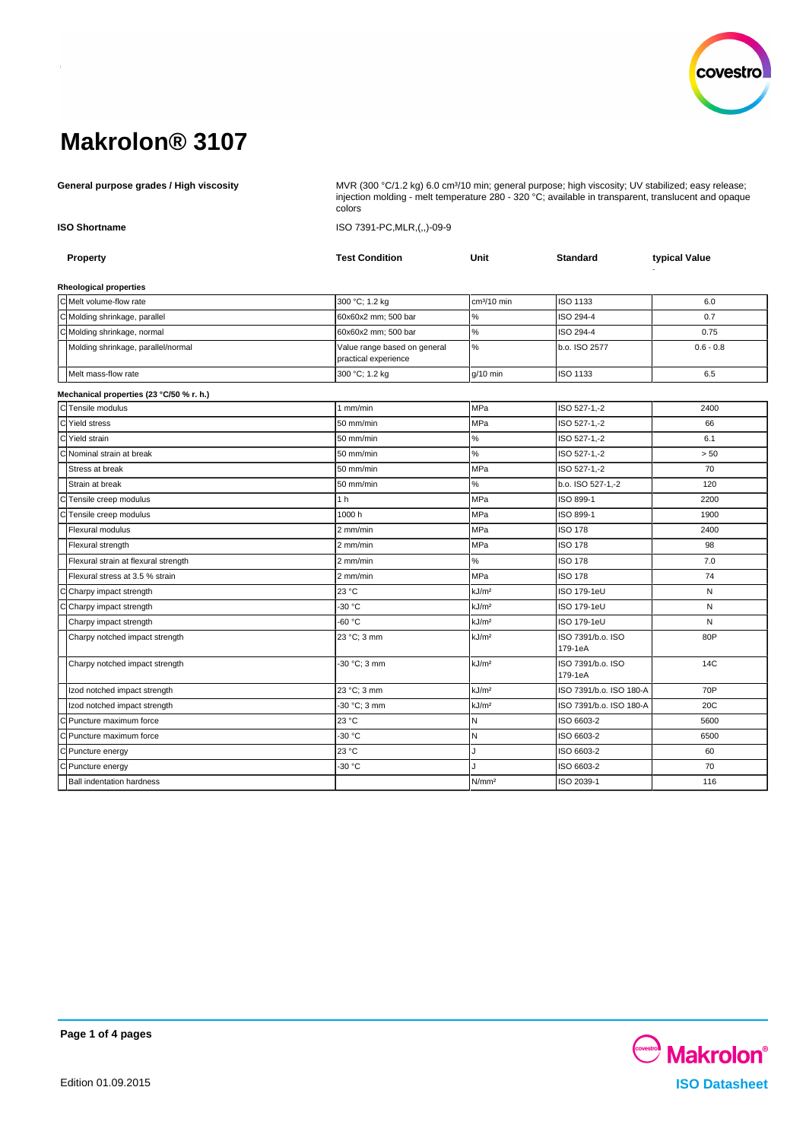

General purpose grades / High viscosity **MUR (300 °C/1.2 kg) 6.0 cm**<sup>3</sup>/10 min; general purpose; high viscosity; UV stabilized; easy release; injection molding - melt temperature 280 - 320 °C; available in transparent, translucent and opaque colors

**ISO Shortname** ISO 7391-PC,MLR,(,,)-09-9

| Property                                 | <b>Test Condition</b>                                | Unit              | <b>Standard</b>              | typical Value |
|------------------------------------------|------------------------------------------------------|-------------------|------------------------------|---------------|
| <b>Rheological properties</b>            |                                                      |                   |                              |               |
| C Melt volume-flow rate                  | 300 °C; 1.2 kg                                       | $cm3/10$ min      | ISO 1133                     | 6.0           |
| C Molding shrinkage, parallel            | 60x60x2 mm; 500 bar                                  | $\%$              | ISO 294-4                    | 0.7           |
| C Molding shrinkage, normal              | 60x60x2 mm: 500 bar                                  | $\%$              | ISO 294-4                    | 0.75          |
| Molding shrinkage, parallel/normal       | Value range based on general<br>practical experience | $\%$              | b.o. ISO 2577                | $0.6 - 0.8$   |
| Melt mass-flow rate                      | 300 °C; 1.2 kg                                       | $q/10$ min        | ISO 1133                     | 6.5           |
| Mechanical properties (23 °C/50 % r. h.) |                                                      |                   |                              |               |
| CTensile modulus                         | $1$ mm/min                                           | MPa               | ISO 527-1,-2                 | 2400          |
| Yield stress                             | 50 mm/min                                            | <b>MPa</b>        | ISO 527-1,-2                 | 66            |
| Yield strain                             | 50 mm/min                                            | $\%$              | ISO 527-1,-2                 | 6.1           |
| Nominal strain at break                  | 50 mm/min                                            | $\%$              | ISO 527-1,-2                 | > 50          |
| Stress at break                          | 50 mm/min                                            | <b>MPa</b>        | ISO 527-1,-2                 | 70            |
| Strain at break                          | 50 mm/min                                            | $\%$              | b.o. ISO 527-1,-2            | 120           |
| Tensile creep modulus                    | 1 <sub>h</sub>                                       | <b>MPa</b>        | ISO 899-1                    | 2200          |
| Tensile creep modulus                    | 1000h                                                | MPa               | ISO 899-1                    | 1900          |
| <b>Flexural modulus</b>                  | 2 mm/min                                             | <b>MPa</b>        | <b>ISO 178</b>               | 2400          |
| Flexural strength                        | 2 mm/min                                             | MPa               | <b>ISO 178</b>               | 98            |
| Flexural strain at flexural strength     | 2 mm/min                                             | %                 | <b>ISO 178</b>               | 7.0           |
| Flexural stress at 3.5 % strain          | 2 mm/min                                             | MPa               | <b>ISO 178</b>               | 74            |
| Charpy impact strength                   | 23 °C                                                | kJ/m <sup>2</sup> | ISO 179-1eU                  | N             |
| Charpy impact strength                   | -30 °C                                               | kJ/m <sup>2</sup> | ISO 179-1eU                  | N             |
| Charpy impact strength                   | $-60 °C$                                             | kJ/m <sup>2</sup> | ISO 179-1eU                  | N             |
| Charpy notched impact strength           | 23 °C; 3 mm                                          | kJ/m <sup>2</sup> | ISO 7391/b.o. ISO<br>179-1eA | 80P           |
| Charpy notched impact strength           | -30 °C; 3 mm                                         | kJ/m <sup>2</sup> | ISO 7391/b.o. ISO<br>179-1eA | 14C           |
| Izod notched impact strength             | 23 °C; 3 mm                                          | kJ/m <sup>2</sup> | ISO 7391/b.o. ISO 180-A      | 70P           |
| Izod notched impact strength             | -30 °C; 3 mm                                         | kJ/m <sup>2</sup> | ISO 7391/b.o. ISO 180-A      | 20C           |
| Puncture maximum force                   | 23 °C                                                | N                 | ISO 6603-2                   | 5600          |
| Puncture maximum force                   | -30 °C                                               | $\mathsf{N}$      | ISO 6603-2                   | 6500          |
| C Puncture energy                        | 23 °C                                                |                   | ISO 6603-2                   | 60            |
| C Puncture energy                        | -30 °C                                               |                   | ISO 6603-2                   | 70            |
| <b>Ball indentation hardness</b>         |                                                      | N/mm <sup>2</sup> | ISO 2039-1                   | 116           |

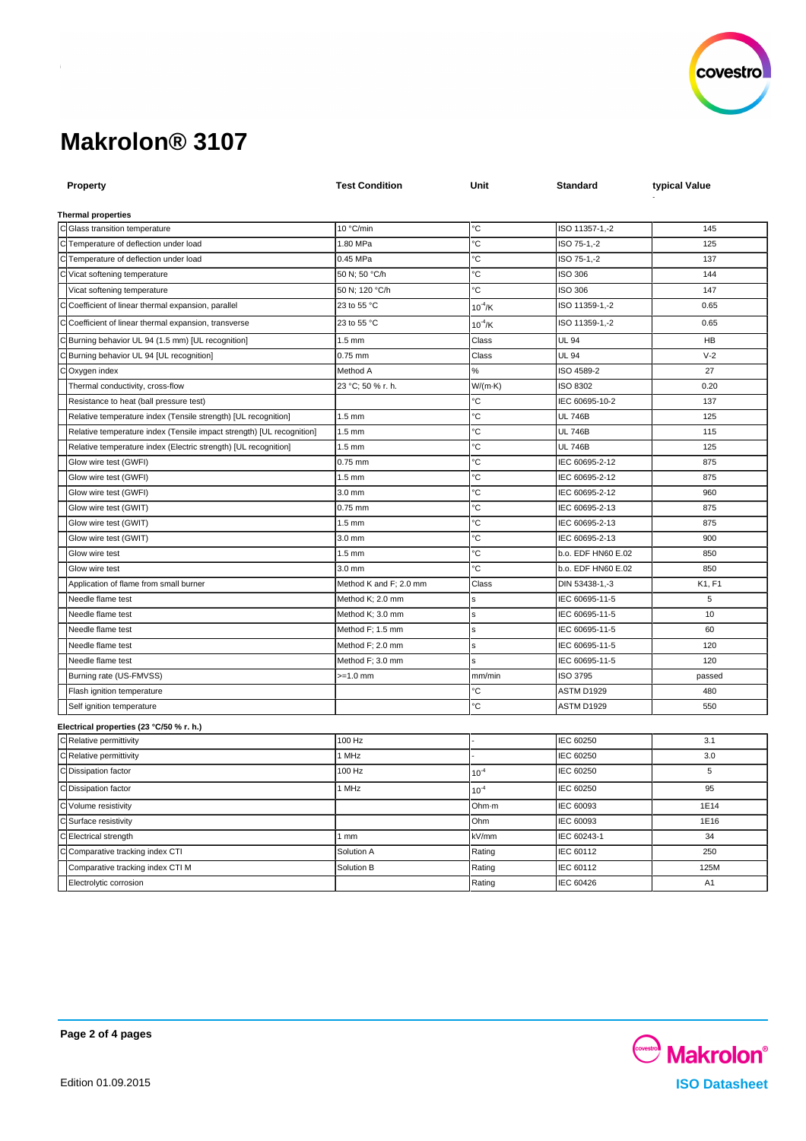

| <b>Property</b>                                                       | <b>Test Condition</b>  | Unit         | Standard           | typical Value  |
|-----------------------------------------------------------------------|------------------------|--------------|--------------------|----------------|
|                                                                       |                        |              |                    |                |
| <b>Thermal properties</b>                                             |                        |              |                    |                |
| C Glass transition temperature                                        | 10 °C/min              | °C           | ISO 11357-1,-2     | 145            |
| C Temperature of deflection under load                                | 1.80 MPa               | °C           | ISO 75-1,-2        | 125            |
| C Temperature of deflection under load                                | 0.45 MPa               | °C           | ISO 75-1,-2        | 137            |
| Vicat softening temperature                                           | 50 N; 50 °C/h          | °C           | ISO 306            | 144            |
| Vicat softening temperature                                           | 50 N; 120 °C/h         | °C           | <b>ISO 306</b>     | 147            |
| Coefficient of linear thermal expansion, parallel                     | 23 to 55 °C            | $10^{-4}$ /K | ISO 11359-1,-2     | 0.65           |
| Coefficient of linear thermal expansion, transverse                   | 23 to 55 °C            | $10^{-4}$ /K | ISO 11359-1,-2     | 0.65           |
| Burning behavior UL 94 (1.5 mm) [UL recognition]                      | $1.5 \text{ mm}$       | Class        | UL 94              | HB             |
| Burning behavior UL 94 [UL recognition]                               | 0.75 mm                | Class        | UL 94              | $V-2$          |
| Oxygen index                                                          | Method A               | ℅            | ISO 4589-2         | 27             |
| Thermal conductivity, cross-flow                                      | 23 °C; 50 % r. h.      | W/(m-K)      | ISO 8302           | 0.20           |
| Resistance to heat (ball pressure test)                               |                        | °С           | IEC 60695-10-2     | 137            |
| Relative temperature index (Tensile strength) [UL recognition]        | $1.5 \text{ mm}$       | °С           | <b>UL 746B</b>     | 125            |
| Relative temperature index (Tensile impact strength) [UL recognition] | $1.5 \text{ mm}$       | °C           | <b>UL 746B</b>     | 115            |
| Relative temperature index (Electric strength) [UL recognition]       | $1.5 \text{ mm}$       | °С           | <b>UL 746B</b>     | 125            |
| Glow wire test (GWFI)                                                 | 0.75 mm                | °С           | IEC 60695-2-12     | 875            |
| Glow wire test (GWFI)                                                 | $1.5 \text{ mm}$       | °C           | IEC 60695-2-12     | 875            |
| Glow wire test (GWFI)                                                 | $3.0 \text{ mm}$       | ℃            | IEC 60695-2-12     | 960            |
| Glow wire test (GWIT)                                                 | 0.75 mm                | °C           | IEC 60695-2-13     | 875            |
| Glow wire test (GWIT)                                                 | $1.5 \text{ mm}$       | °C           | IEC 60695-2-13     | 875            |
| Glow wire test (GWIT)                                                 | 3.0 mm                 | °C           | IEC 60695-2-13     | 900            |
| Glow wire test                                                        | $1.5 \text{ mm}$       | °C           | b.o. EDF HN60 E.02 | 850            |
| Glow wire test                                                        | 3.0 mm                 | °C           | b.o. EDF HN60 E.02 | 850            |
| Application of flame from small burner                                | Method K and F; 2.0 mm | Class        | DIN 53438-1,-3     | K1, F1         |
| Needle flame test                                                     | Method K; 2.0 mm       | S            | IEC 60695-11-5     | 5              |
| Needle flame test                                                     | Method K; 3.0 mm       | s            | IEC 60695-11-5     | 10             |
| Needle flame test                                                     | Method F; 1.5 mm       | s            | IEC 60695-11-5     | 60             |
| Needle flame test                                                     | Method F; 2.0 mm       | s            | IEC 60695-11-5     | 120            |
| Needle flame test                                                     | Method F; 3.0 mm       | s            | IEC 60695-11-5     | 120            |
| Burning rate (US-FMVSS)                                               | >=1.0 mm               | mm/min       | ISO 3795           | passed         |
| Flash ignition temperature                                            |                        | °C           | ASTM D1929         | 480            |
| Self ignition temperature                                             |                        | ъc           | ASTM D1929         | 550            |
| Electrical properties (23 °C/50 % r. h.)                              |                        |              |                    |                |
| C Relative permittivity                                               | 100 Hz                 |              | IEC 60250          | 3.1            |
| C Relative permittivity                                               | 1 MHz                  |              | IEC 60250          | 3.0            |
| C Dissipation factor                                                  | 100 Hz                 | $10^{-4}$    | IEC 60250          | 5              |
| C Dissipation factor                                                  | 1 MHz                  | $10^{-4}$    | <b>IEC 60250</b>   | 95             |
| C Volume resistivity                                                  |                        | Ohm-m        | IEC 60093          | 1E14           |
| C Surface resistivity                                                 |                        | Ohm          | IEC 60093          | 1E16           |
| C Electrical strength                                                 | 1 mm                   | kV/mm        | IEC 60243-1        | 34             |
| C Comparative tracking index CTI                                      | Solution A             | Rating       | IEC 60112          | 250            |
| Comparative tracking index CTI M                                      | Solution B             | Rating       | IEC 60112          | 125M           |
| Electrolytic corrosion                                                |                        | Rating       | IEC 60426          | A <sub>1</sub> |
|                                                                       |                        |              |                    |                |

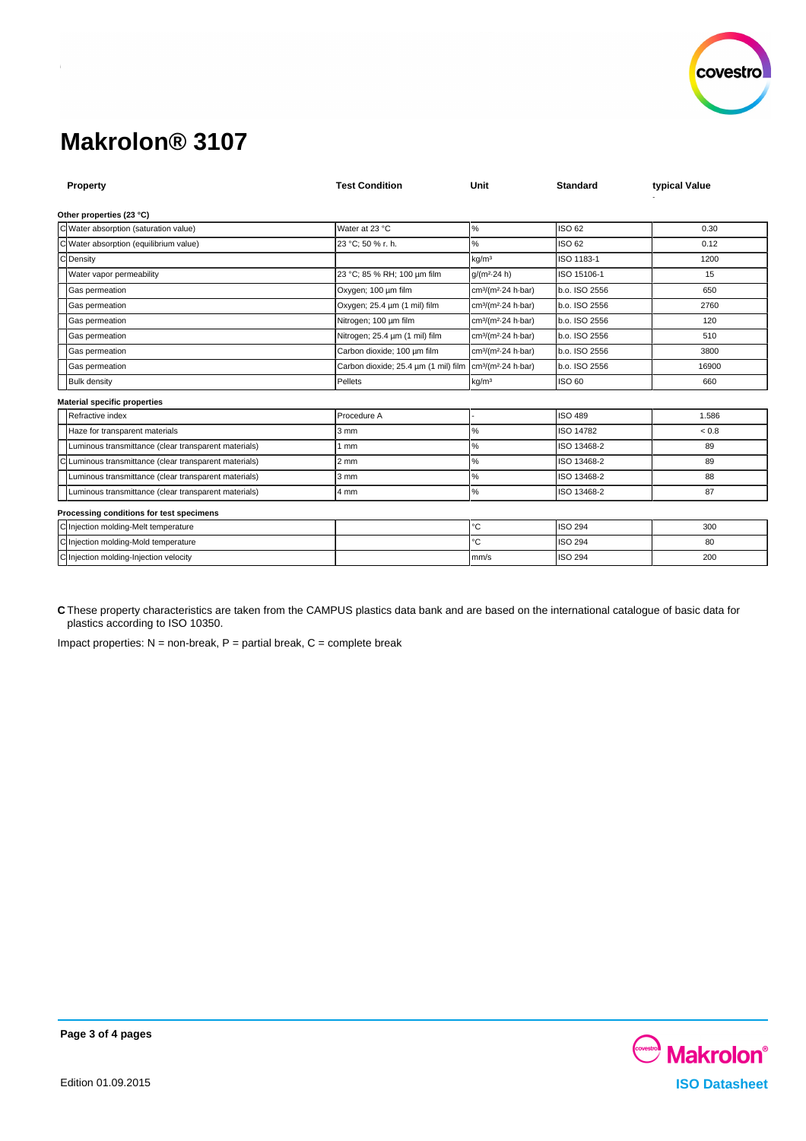

| Property                                             | <b>Test Condition</b>                                                           | Unit                                        | <b>Standard</b> | typical Value |  |  |  |  |
|------------------------------------------------------|---------------------------------------------------------------------------------|---------------------------------------------|-----------------|---------------|--|--|--|--|
| Other properties (23 °C)                             |                                                                                 |                                             |                 |               |  |  |  |  |
| C Water absorption (saturation value)                | Water at 23 °C                                                                  | $\%$                                        | ISO 62          | 0.30          |  |  |  |  |
| 'CI<br>Water absorption (equilibrium value)          | 23 °C; 50 % r. h.                                                               | %                                           | ISO 62          | 0.12          |  |  |  |  |
| $\mathsf{C}$<br>Density                              |                                                                                 | kg/m <sup>3</sup>                           | ISO 1183-1      | 1200          |  |  |  |  |
| Water vapor permeability                             | 23 °C; 85 % RH; 100 um film                                                     | $q/(m^2.24 h)$                              | ISO 15106-1     | 15            |  |  |  |  |
| Gas permeation                                       | Oxygen; 100 µm film                                                             | cm <sup>3</sup> /(m <sup>2</sup> -24 h-bar) | b.o. ISO 2556   | 650           |  |  |  |  |
| Gas permeation                                       | Oxygen; 25.4 um (1 mil) film                                                    | cm <sup>3</sup> /(m <sup>2</sup> -24 h-bar) | b.o. ISO 2556   | 2760          |  |  |  |  |
| Gas permeation                                       | Nitrogen; 100 um film                                                           | cm <sup>3</sup> /(m <sup>2</sup> 24 h bar)  | b.o. ISO 2556   | 120           |  |  |  |  |
| Gas permeation                                       | Nitrogen; 25.4 um (1 mil) film                                                  | cm <sup>3</sup> /(m <sup>2</sup> 24 h bar)  | b.o. ISO 2556   | 510           |  |  |  |  |
| Gas permeation                                       | Carbon dioxide; 100 um film                                                     | cm <sup>3</sup> /(m <sup>2</sup> -24 h-bar) | b.o. ISO 2556   | 3800          |  |  |  |  |
| Gas permeation                                       | Carbon dioxide; 25.4 um (1 mil) film cm <sup>3</sup> /(m <sup>2</sup> 24 h bar) |                                             | b.o. ISO 2556   | 16900         |  |  |  |  |
| <b>Bulk density</b>                                  | Pellets                                                                         | kg/m <sup>3</sup>                           | ISO 60          | 660           |  |  |  |  |
| <b>Material specific properties</b>                  |                                                                                 |                                             |                 |               |  |  |  |  |
| Refractive index                                     | Procedure A                                                                     |                                             | <b>ISO 489</b>  | 1.586         |  |  |  |  |
| Haze for transparent materials                       | 3 mm                                                                            | %                                           | ISO 14782       | ${}_{0.8}$    |  |  |  |  |
| Luminous transmittance (clear transparent materials) | 1 mm                                                                            | ℅                                           | ISO 13468-2     | 89            |  |  |  |  |
| Luminous transmittance (clear transparent materials) | $2 \, \text{mm}$                                                                | %                                           | ISO 13468-2     | 89            |  |  |  |  |
| Luminous transmittance (clear transparent materials) | 3 mm                                                                            | %                                           | ISO 13468-2     | 88            |  |  |  |  |
| Luminous transmittance (clear transparent materials) | 4 mm                                                                            | %                                           | ISO 13468-2     | 87            |  |  |  |  |
| Processing conditions for test specimens             |                                                                                 |                                             |                 |               |  |  |  |  |
| C Injection molding-Melt temperature                 |                                                                                 | °C                                          | <b>ISO 294</b>  | 300           |  |  |  |  |
| C Injection molding-Mold temperature                 |                                                                                 | °C                                          | <b>ISO 294</b>  | 80            |  |  |  |  |
| C Injection molding-Injection velocity               |                                                                                 | mm/s                                        | <b>ISO 294</b>  | 200           |  |  |  |  |

**C** These property characteristics are taken from the CAMPUS plastics data bank and are based on the international catalogue of basic data for plastics according to ISO 10350.

Impact properties:  $N =$  non-break,  $P =$  partial break,  $C =$  complete break